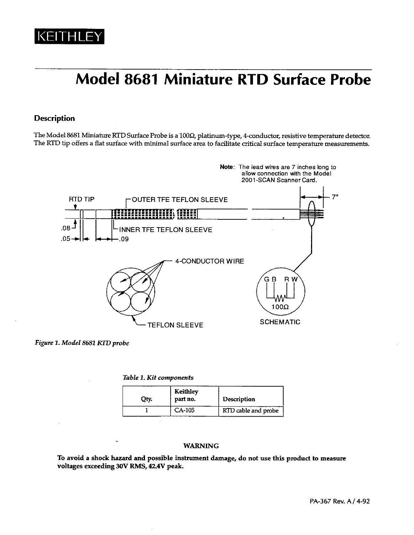

# **Model 8681 Miniature RTD Surface Probe**

#### **Description**

The Model 8681 Miniature RTD Surface Probe is a 100 $\Omega$ , platinum-type, 4-conductor, resistive temperature detector. The RTD tip offers a flat surface with minimal surface area to facilitate critical surface temperature measurements.



Figure 1. Model 8681 RTD probe

Table 1. Kit components

| Qty. | Keithley<br>part no. | <b>Description</b>  |
|------|----------------------|---------------------|
|      | CA-105               | RTD cable and probe |

#### **WARNING**

To avoid a shock hazard and possible instrument damage, do not use this product to measure voltages exceeding 30V RMS, 42.4V peak.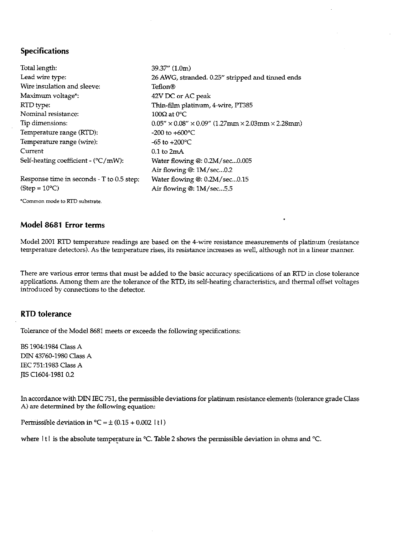### **Specifications**

Total length: 39.37" (1.0m) Lead wire type: 26 AWG, stranded. 0.25" stripped and tinned ends Wire insulation and sleeve: Teflon® Maximum voltage\*: 42V DC or AC peak RTD type: Thin-film platinum, 4-wire, PT385 Nominal resistance:  $100\Omega$  at 0°C. Tip dimensions:  $0.05'' \times 0.08'' \times 0.09''$  (1.27mm  $\times$  2.03mm  $\times$  2.28mm) Temperature range (RTD): -200 to +600 $^{\circ}$ C Temperature range (wire): -65 to  $+200^{\circ}$ C Current  $0.1$  to  $2mA$ Self-heating coefficient - (°C/mW): Water flowing @: 0.2M/sec...0.005 Air flowing @: 1M/sec...0.2 Response time in seconds - T to 0.5 step: Water flowing  $@: 0.2M/sec...0.15$  $(Step = 10°C)$ Air flowing @: 1M/sec...5.5

\*Common mode to RTD substrate.

#### Model 8681 Error terms

Model 2001 RTD temperature readings are based on the 4-wire resistance measurements of platinum (resistance temperature detectors). As the temperature rises, its resistance increases as well, although not in a linear manner.

There are various error terms that must be added to the basic accuracy specifications of an RTD in close tolerance applications. Among them are the tolerance of the RTD, its self-heating characteristics, and thermal offset voltages introduced by connections to the detector.

#### **RTD** tolerance

Tolerance of the Model 8681 meets or exceeds the following specifications:

BS 1904:1984 Class A DIN 43760-1980 Class A IEC 751:1983 Class A TIS C1604-1981 0.2

In accordance with DIN IEC 751, the permissible deviations for platinum resistance elements (tolerance grade Class A) are determined by the following equation:

Permissible deviation in  ${}^{\circ}C = \pm (0.15 + 0.002 \mid t \mid)$ 

where  $|t|$  is the absolute temperature in °C. Table 2 shows the permissible deviation in ohms and °C.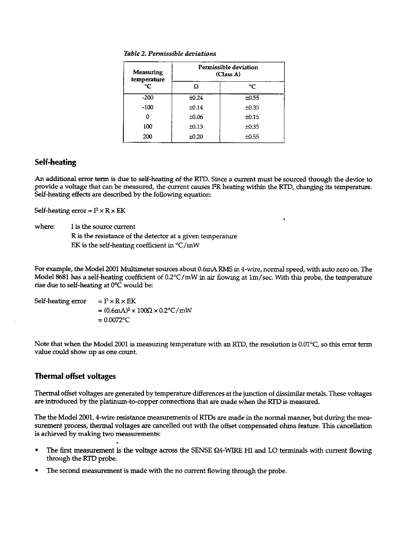| Table 2. Permissible deviations |  |  |  |
|---------------------------------|--|--|--|
|                                 |  |  |  |

| Measuring<br>temperature | Permissible deviation<br>(Class A) |            |  |
|--------------------------|------------------------------------|------------|--|
| ℃                        | Ω                                  | °C         |  |
| $-200$                   | ±0.24                              | $\pm 0.55$ |  |
| $-100$                   | ±0.14                              | $\pm 0.35$ |  |
|                          | ±0.06                              | $\pm 0.15$ |  |
| 100                      | ±0.13                              | $\pm 0.35$ |  |
| 200                      | ±0.20                              | ±0.55      |  |

## **Self-heating**

An additional error term is due to self-heating of the RTD. Since a current must be sourced through the device to provide a voltage that can be measured, the current causes I<sup>2</sup>R heating within the RTD, changing its temperature. Self-heating effects are described by the following equation:

Self-heating error =  $I^2 \times R \times EK$ 

where: I is the source current R is the resistance of the detector at a given temperature EK is the self-heating coefficient in  $\mathrm{C/mW}$ 

For example, the Model 2001 Multimeter sources about 0.6mA RMS in 4-wire, normal speed, with auto zero on. The Model 8681 has a self-heating coefficient of 0.2°C/mW in air flowing at 1m/sec. With this probe, the temperature rise due to self-heating at 0°C would be:

Self-heating error  $= I^2 \times R \times EK$  $=(0.6 \text{mA})^2 \times 100 \Omega \times 0.2 \text{°C/mW}$  $= 0.0072$ °C

Note that when the Model 2001 is measuring temperature with an RTD, the resolution is 0.01°C, so this error term value could show up as one count.

# **Thermal offset voltages**

Thermal offset voltages are generated by temperature differences at the junction of dissimilar metals. These voltages are introduced by the platinum-to-copper connections that are made when the RTD is measured.

The the Model 2001, 4-wire resistance measurements of RTDs are made in the normal manner, but during the measurement process, thermal voltages are cancelled out with the offset compensated ohms feature. This cancellation is achieved by making two measurements:

- The first measurement is the voltage across the SENSE  $\Omega$ 4-WIRE HI and LO terminals with current flowing through the RTD probe.
- The second measurement is made with the no current flowing through the probe.